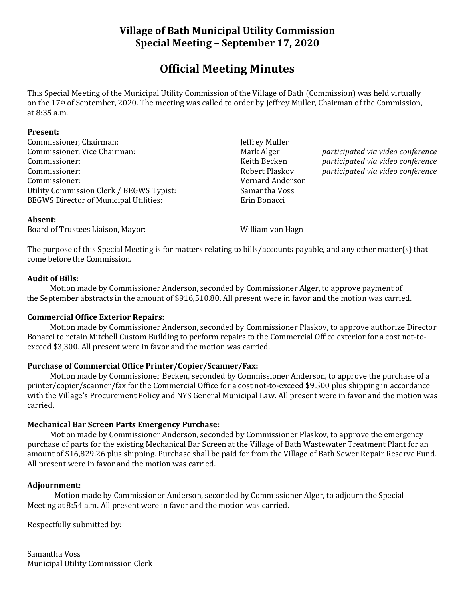# **Village of Bath Municipal Utility Commission Special Meeting – September 17, 2020**

# **Official Meeting Minutes**

This Special Meeting of the Municipal Utility Commission of the Village of Bath (Commission) was held virtually on the 17th of September, 2020. The meeting was called to order by Jeffrey Muller, Chairman of the Commission, at 8:35 a.m.

#### **Present:**

Commissioner, Chairman: Jeffrey Muller Commissioner, Vice Chairman: Mark Alger *participated via video conference* Commissioner: Keith Becken *participated via video conference* Commissioner: Robert Plaskov *participated via video conference* Commissioner: Vernard Anderson Utility Commission Clerk / BEGWS Typist: Samantha Voss BEGWS Director of Municipal Utilities: Erin Bonacci

#### **Absent:**

Board of Trustees Liaison, Mayor: William von Hagn

The purpose of this Special Meeting is for matters relating to bills/accounts payable, and any other matter(s) that come before the Commission.

### **Audit of Bills:**

Motion made by Commissioner Anderson, seconded by Commissioner Alger, to approve payment of the September abstracts in the amount of \$916,510.80. All present were in favor and the motion was carried.

### **Commercial Office Exterior Repairs:**

Motion made by Commissioner Anderson, seconded by Commissioner Plaskov, to approve authorize Director Bonacci to retain Mitchell Custom Building to perform repairs to the Commercial Office exterior for a cost not-toexceed \$3,300. All present were in favor and the motion was carried.

## **Purchase of Commercial Office Printer/Copier/Scanner/Fax:**

Motion made by Commissioner Becken, seconded by Commissioner Anderson, to approve the purchase of a printer/copier/scanner/fax for the Commercial Office for a cost not-to-exceed \$9,500 plus shipping in accordance with the Village's Procurement Policy and NYS General Municipal Law. All present were in favor and the motion was carried.

### **Mechanical Bar Screen Parts Emergency Purchase:**

Motion made by Commissioner Anderson, seconded by Commissioner Plaskov, to approve the emergency purchase of parts for the existing Mechanical Bar Screen at the Village of Bath Wastewater Treatment Plant for an amount of \$16,829.26 plus shipping. Purchase shall be paid for from the Village of Bath Sewer Repair Reserve Fund. All present were in favor and the motion was carried.

### **Adjournment:**

Motion made by Commissioner Anderson, seconded by Commissioner Alger, to adjourn the Special Meeting at 8:54 a.m. All present were in favor and the motion was carried.

Respectfully submitted by:

Samantha Voss Municipal Utility Commission Clerk